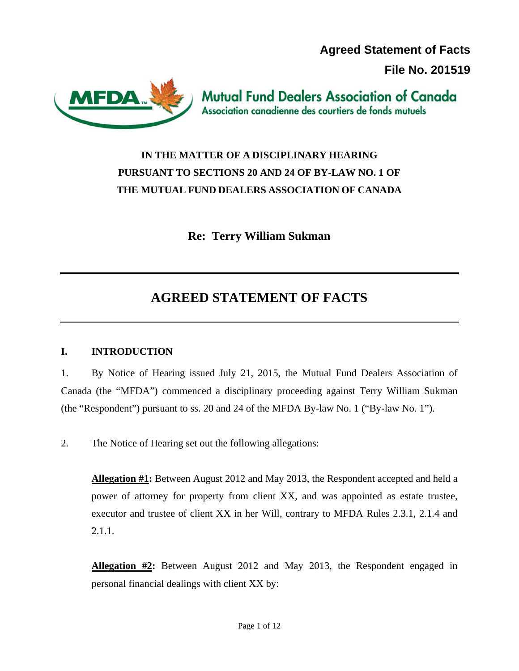**Agreed Statement of Facts** 

**File No. 201519** 



**Mutual Fund Dealers Association of Canada** Association canadienne des courtiers de fonds mutuels

## **IN THE MATTER OF A DISCIPLINARY HEARING PURSUANT TO SECTIONS 20 AND 24 OF BY-LAW NO. 1 OF THE MUTUAL FUND DEALERS ASSOCIATION OF CANADA**

**Re: Terry William Sukman** 

# **AGREED STATEMENT OF FACTS**

## **I. INTRODUCTION**

1. By Notice of Hearing issued July 21, 2015, the Mutual Fund Dealers Association of Canada (the "MFDA") commenced a disciplinary proceeding against Terry William Sukman (the "Respondent") pursuant to ss. 20 and 24 of the MFDA By-law No. 1 ("By-law No. 1").

2. The Notice of Hearing set out the following allegations:

**Allegation #1:** Between August 2012 and May 2013, the Respondent accepted and held a power of attorney for property from client XX, and was appointed as estate trustee, executor and trustee of client XX in her Will, contrary to MFDA Rules 2.3.1, 2.1.4 and 2.1.1.

**Allegation #2:** Between August 2012 and May 2013, the Respondent engaged in personal financial dealings with client XX by: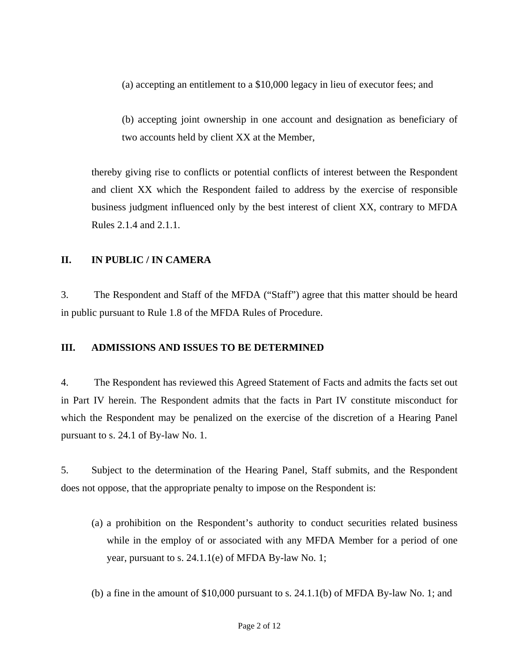(a) accepting an entitlement to a \$10,000 legacy in lieu of executor fees; and

(b) accepting joint ownership in one account and designation as beneficiary of two accounts held by client XX at the Member,

thereby giving rise to conflicts or potential conflicts of interest between the Respondent and client XX which the Respondent failed to address by the exercise of responsible business judgment influenced only by the best interest of client XX, contrary to MFDA Rules 2.1.4 and 2.1.1.

#### **II. IN PUBLIC / IN CAMERA**

3. The Respondent and Staff of the MFDA ("Staff") agree that this matter should be heard in public pursuant to Rule 1.8 of the MFDA Rules of Procedure.

#### **III. ADMISSIONS AND ISSUES TO BE DETERMINED**

4. The Respondent has reviewed this Agreed Statement of Facts and admits the facts set out in Part IV herein. The Respondent admits that the facts in Part IV constitute misconduct for which the Respondent may be penalized on the exercise of the discretion of a Hearing Panel pursuant to s. 24.1 of By-law No. 1.

5. Subject to the determination of the Hearing Panel, Staff submits, and the Respondent does not oppose, that the appropriate penalty to impose on the Respondent is:

- (a) a prohibition on the Respondent's authority to conduct securities related business while in the employ of or associated with any MFDA Member for a period of one year, pursuant to s. 24.1.1(e) of MFDA By-law No. 1;
- (b) a fine in the amount of \$10,000 pursuant to s. 24.1.1(b) of MFDA By-law No. 1; and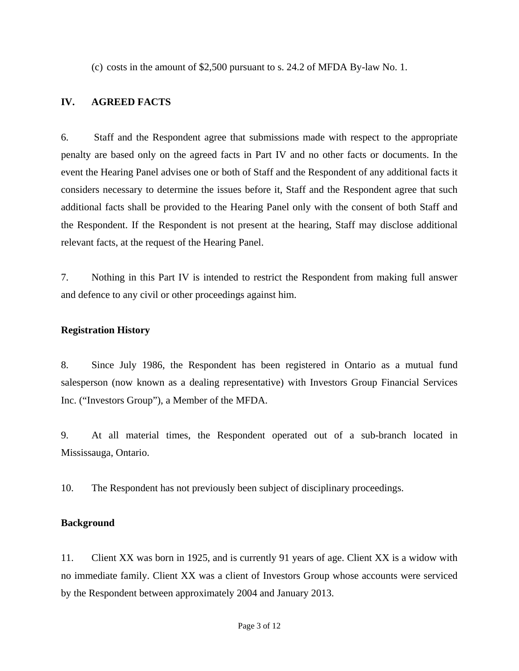(c) costs in the amount of \$2,500 pursuant to s. 24.2 of MFDA By-law No. 1.

#### **IV. AGREED FACTS**

6. Staff and the Respondent agree that submissions made with respect to the appropriate penalty are based only on the agreed facts in Part IV and no other facts or documents. In the event the Hearing Panel advises one or both of Staff and the Respondent of any additional facts it considers necessary to determine the issues before it, Staff and the Respondent agree that such additional facts shall be provided to the Hearing Panel only with the consent of both Staff and the Respondent. If the Respondent is not present at the hearing, Staff may disclose additional relevant facts, at the request of the Hearing Panel.

7. Nothing in this Part IV is intended to restrict the Respondent from making full answer and defence to any civil or other proceedings against him.

#### **Registration History**

8. Since July 1986, the Respondent has been registered in Ontario as a mutual fund salesperson (now known as a dealing representative) with Investors Group Financial Services Inc. ("Investors Group"), a Member of the MFDA.

9. At all material times, the Respondent operated out of a sub-branch located in Mississauga, Ontario.

10. The Respondent has not previously been subject of disciplinary proceedings.

#### **Background**

11. Client XX was born in 1925, and is currently 91 years of age. Client XX is a widow with no immediate family. Client XX was a client of Investors Group whose accounts were serviced by the Respondent between approximately 2004 and January 2013.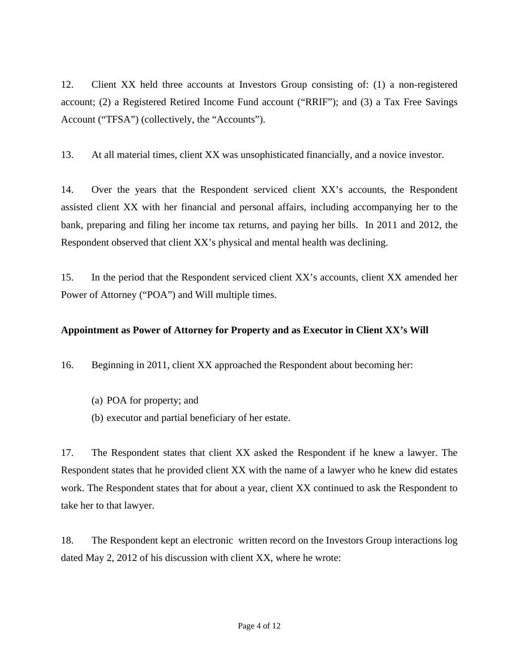12. Client XX held three accounts at Investors Group consisting of: (1) a non-registered account; (2) a Registered Retired Income Fund account ("RRIF"); and (3) a Tax Free Savings Account ("TFSA") (collectively, the "Accounts").

13. At all material times, client XX was unsophisticated financially, and a novice investor.

14. Over the years that the Respondent serviced client XX's accounts, the Respondent assisted client XX with her financial and personal affairs, including accompanying her to the bank, preparing and filing her income tax returns, and paying her bills. In 2011 and 2012, the Respondent observed that client XX's physical and mental health was declining.

15. In the period that the Respondent serviced client XX's accounts, client XX amended her Power of Attorney ("POA") and Will multiple times.

#### **Appointment as Power of Attorney for Property and as Executor in Client XX's Will**

16. Beginning in 2011, client XX approached the Respondent about becoming her:

- (a) POA for property; and
- (b) executor and partial beneficiary of her estate.

17. The Respondent states that client XX asked the Respondent if he knew a lawyer. The Respondent states that he provided client XX with the name of a lawyer who he knew did estates work. The Respondent states that for about a year, client XX continued to ask the Respondent to take her to that lawyer.

18. The Respondent kept an electronic written record on the Investors Group interactions log dated May 2, 2012 of his discussion with client XX, where he wrote: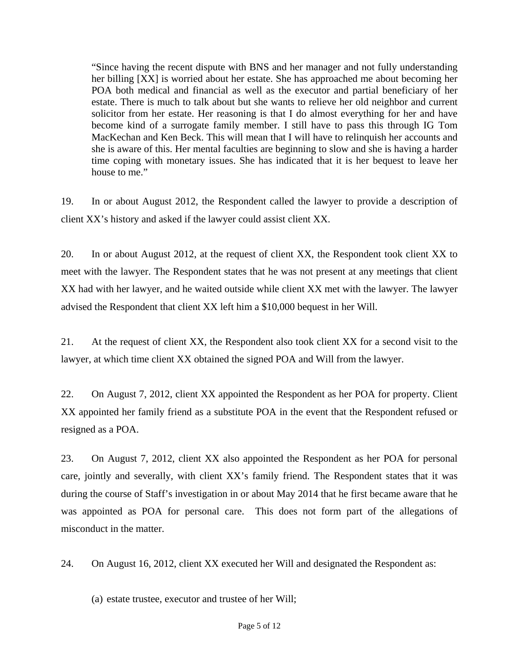"Since having the recent dispute with BNS and her manager and not fully understanding her billing [XX] is worried about her estate. She has approached me about becoming her POA both medical and financial as well as the executor and partial beneficiary of her estate. There is much to talk about but she wants to relieve her old neighbor and current solicitor from her estate. Her reasoning is that I do almost everything for her and have become kind of a surrogate family member. I still have to pass this through IG Tom MacKechan and Ken Beck. This will mean that I will have to relinquish her accounts and she is aware of this. Her mental faculties are beginning to slow and she is having a harder time coping with monetary issues. She has indicated that it is her bequest to leave her house to me."

19. In or about August 2012, the Respondent called the lawyer to provide a description of client XX's history and asked if the lawyer could assist client XX.

20. In or about August 2012, at the request of client XX, the Respondent took client XX to meet with the lawyer. The Respondent states that he was not present at any meetings that client XX had with her lawyer, and he waited outside while client XX met with the lawyer. The lawyer advised the Respondent that client XX left him a \$10,000 bequest in her Will.

21. At the request of client XX, the Respondent also took client XX for a second visit to the lawyer, at which time client XX obtained the signed POA and Will from the lawyer.

22. On August 7, 2012, client XX appointed the Respondent as her POA for property. Client XX appointed her family friend as a substitute POA in the event that the Respondent refused or resigned as a POA.

23. On August 7, 2012, client XX also appointed the Respondent as her POA for personal care, jointly and severally, with client XX's family friend. The Respondent states that it was during the course of Staff's investigation in or about May 2014 that he first became aware that he was appointed as POA for personal care. This does not form part of the allegations of misconduct in the matter.

24. On August 16, 2012, client XX executed her Will and designated the Respondent as:

(a) estate trustee, executor and trustee of her Will;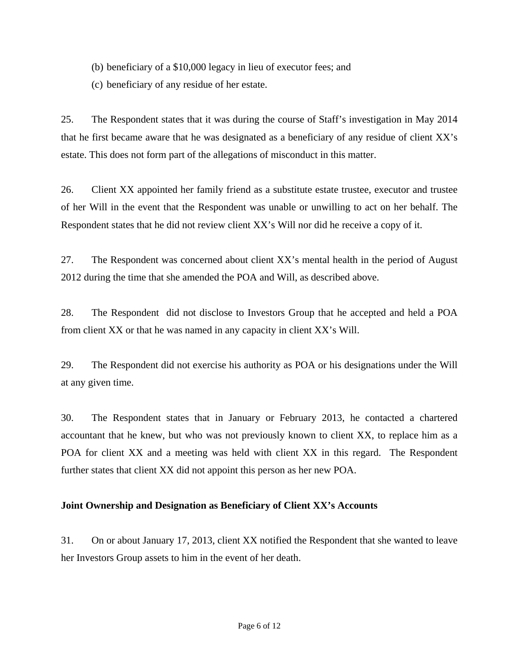(b) beneficiary of a \$10,000 legacy in lieu of executor fees; and

(c) beneficiary of any residue of her estate.

25. The Respondent states that it was during the course of Staff's investigation in May 2014 that he first became aware that he was designated as a beneficiary of any residue of client XX's estate. This does not form part of the allegations of misconduct in this matter.

26. Client XX appointed her family friend as a substitute estate trustee, executor and trustee of her Will in the event that the Respondent was unable or unwilling to act on her behalf. The Respondent states that he did not review client XX's Will nor did he receive a copy of it.

27. The Respondent was concerned about client XX's mental health in the period of August 2012 during the time that she amended the POA and Will, as described above.

28. The Respondent did not disclose to Investors Group that he accepted and held a POA from client XX or that he was named in any capacity in client XX's Will.

29. The Respondent did not exercise his authority as POA or his designations under the Will at any given time.

30. The Respondent states that in January or February 2013, he contacted a chartered accountant that he knew, but who was not previously known to client XX, to replace him as a POA for client XX and a meeting was held with client XX in this regard. The Respondent further states that client XX did not appoint this person as her new POA.

#### **Joint Ownership and Designation as Beneficiary of Client XX's Accounts**

31. On or about January 17, 2013, client XX notified the Respondent that she wanted to leave her Investors Group assets to him in the event of her death.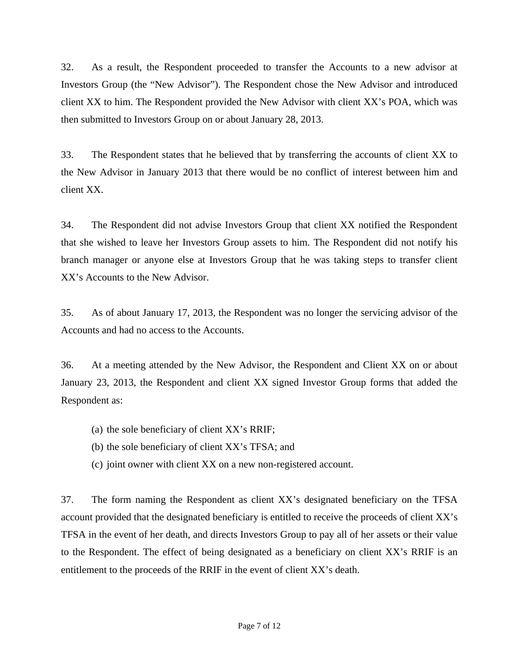32. As a result, the Respondent proceeded to transfer the Accounts to a new advisor at Investors Group (the "New Advisor"). The Respondent chose the New Advisor and introduced client XX to him. The Respondent provided the New Advisor with client XX's POA, which was then submitted to Investors Group on or about January 28, 2013.

33. The Respondent states that he believed that by transferring the accounts of client XX to the New Advisor in January 2013 that there would be no conflict of interest between him and client XX.

34. The Respondent did not advise Investors Group that client XX notified the Respondent that she wished to leave her Investors Group assets to him. The Respondent did not notify his branch manager or anyone else at Investors Group that he was taking steps to transfer client XX's Accounts to the New Advisor.

35. As of about January 17, 2013, the Respondent was no longer the servicing advisor of the Accounts and had no access to the Accounts.

36. At a meeting attended by the New Advisor, the Respondent and Client XX on or about January 23, 2013, the Respondent and client XX signed Investor Group forms that added the Respondent as:

- (a) the sole beneficiary of client XX's RRIF;
- (b) the sole beneficiary of client XX's TFSA; and
- (c) joint owner with client XX on a new non-registered account.

37. The form naming the Respondent as client XX's designated beneficiary on the TFSA account provided that the designated beneficiary is entitled to receive the proceeds of client XX's TFSA in the event of her death, and directs Investors Group to pay all of her assets or their value to the Respondent. The effect of being designated as a beneficiary on client XX's RRIF is an entitlement to the proceeds of the RRIF in the event of client XX's death.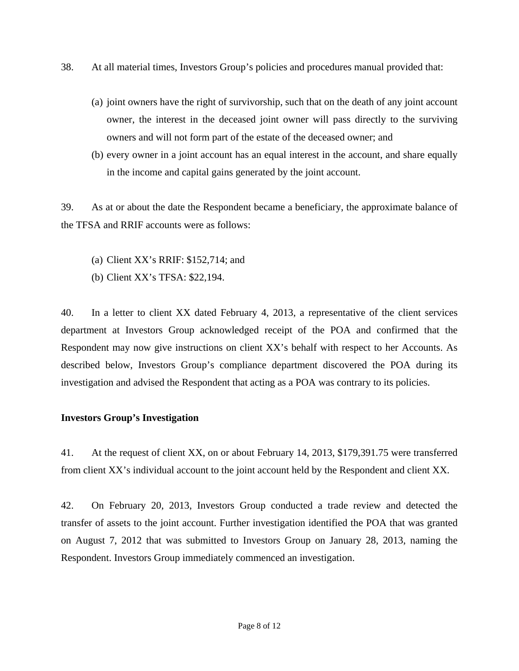- 38. At all material times, Investors Group's policies and procedures manual provided that:
	- (a) joint owners have the right of survivorship, such that on the death of any joint account owner, the interest in the deceased joint owner will pass directly to the surviving owners and will not form part of the estate of the deceased owner; and
	- (b) every owner in a joint account has an equal interest in the account, and share equally in the income and capital gains generated by the joint account.

39. As at or about the date the Respondent became a beneficiary, the approximate balance of the TFSA and RRIF accounts were as follows:

- (a) Client XX's RRIF: \$152,714; and
- (b) Client XX's TFSA: \$22,194.

40. In a letter to client XX dated February 4, 2013, a representative of the client services department at Investors Group acknowledged receipt of the POA and confirmed that the Respondent may now give instructions on client XX's behalf with respect to her Accounts. As described below, Investors Group's compliance department discovered the POA during its investigation and advised the Respondent that acting as a POA was contrary to its policies.

#### **Investors Group's Investigation**

41. At the request of client XX, on or about February 14, 2013, \$179,391.75 were transferred from client XX's individual account to the joint account held by the Respondent and client XX.

42. On February 20, 2013, Investors Group conducted a trade review and detected the transfer of assets to the joint account. Further investigation identified the POA that was granted on August 7, 2012 that was submitted to Investors Group on January 28, 2013, naming the Respondent. Investors Group immediately commenced an investigation.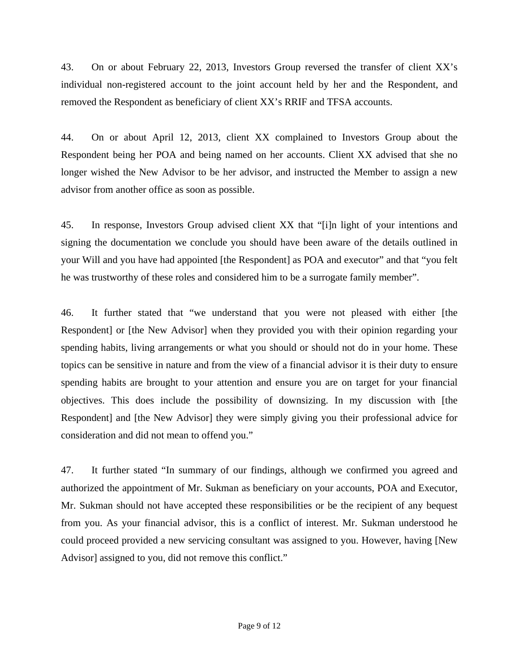43. On or about February 22, 2013, Investors Group reversed the transfer of client XX's individual non-registered account to the joint account held by her and the Respondent, and removed the Respondent as beneficiary of client XX's RRIF and TFSA accounts.

44. On or about April 12, 2013, client XX complained to Investors Group about the Respondent being her POA and being named on her accounts. Client XX advised that she no longer wished the New Advisor to be her advisor, and instructed the Member to assign a new advisor from another office as soon as possible.

45. In response, Investors Group advised client XX that "[i]n light of your intentions and signing the documentation we conclude you should have been aware of the details outlined in your Will and you have had appointed [the Respondent] as POA and executor" and that "you felt he was trustworthy of these roles and considered him to be a surrogate family member".

46. It further stated that "we understand that you were not pleased with either [the Respondent] or [the New Advisor] when they provided you with their opinion regarding your spending habits, living arrangements or what you should or should not do in your home. These topics can be sensitive in nature and from the view of a financial advisor it is their duty to ensure spending habits are brought to your attention and ensure you are on target for your financial objectives. This does include the possibility of downsizing. In my discussion with [the Respondent] and [the New Advisor] they were simply giving you their professional advice for consideration and did not mean to offend you."

47. It further stated "In summary of our findings, although we confirmed you agreed and authorized the appointment of Mr. Sukman as beneficiary on your accounts, POA and Executor, Mr. Sukman should not have accepted these responsibilities or be the recipient of any bequest from you. As your financial advisor, this is a conflict of interest. Mr. Sukman understood he could proceed provided a new servicing consultant was assigned to you. However, having [New Advisor] assigned to you, did not remove this conflict."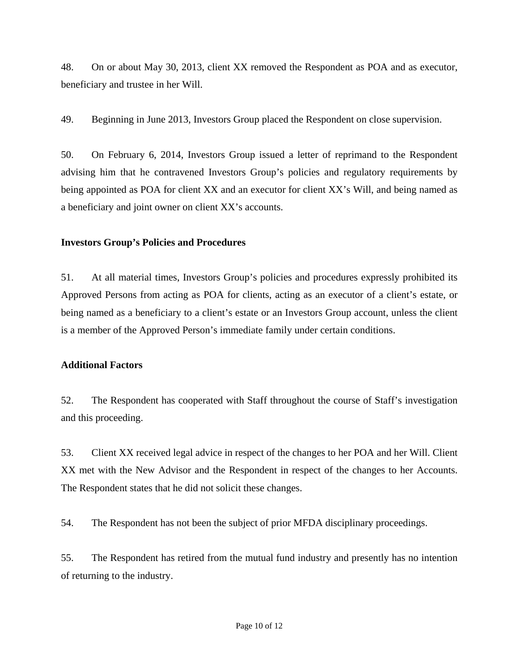48. On or about May 30, 2013, client XX removed the Respondent as POA and as executor, beneficiary and trustee in her Will.

49. Beginning in June 2013, Investors Group placed the Respondent on close supervision.

50. On February 6, 2014, Investors Group issued a letter of reprimand to the Respondent advising him that he contravened Investors Group's policies and regulatory requirements by being appointed as POA for client XX and an executor for client XX's Will, and being named as a beneficiary and joint owner on client XX's accounts.

#### **Investors Group's Policies and Procedures**

51. At all material times, Investors Group's policies and procedures expressly prohibited its Approved Persons from acting as POA for clients, acting as an executor of a client's estate, or being named as a beneficiary to a client's estate or an Investors Group account, unless the client is a member of the Approved Person's immediate family under certain conditions.

## **Additional Factors**

52. The Respondent has cooperated with Staff throughout the course of Staff's investigation and this proceeding.

53. Client XX received legal advice in respect of the changes to her POA and her Will. Client XX met with the New Advisor and the Respondent in respect of the changes to her Accounts. The Respondent states that he did not solicit these changes.

54. The Respondent has not been the subject of prior MFDA disciplinary proceedings.

55. The Respondent has retired from the mutual fund industry and presently has no intention of returning to the industry.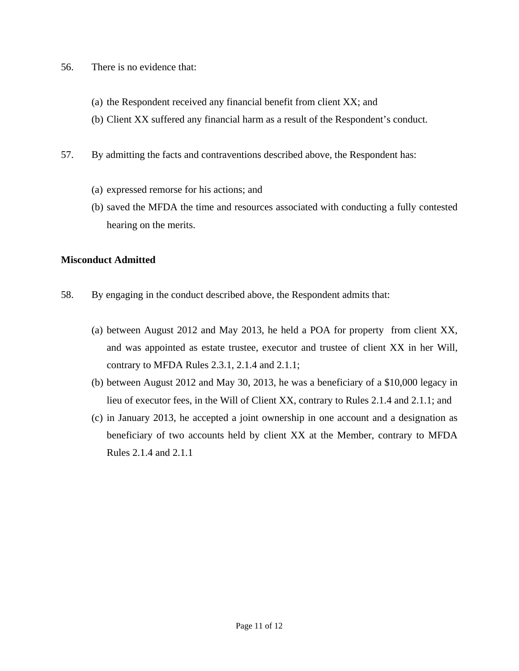- 56. There is no evidence that:
	- (a) the Respondent received any financial benefit from client XX; and
	- (b) Client XX suffered any financial harm as a result of the Respondent's conduct.
- 57. By admitting the facts and contraventions described above, the Respondent has:
	- (a) expressed remorse for his actions; and
	- (b) saved the MFDA the time and resources associated with conducting a fully contested hearing on the merits.

#### **Misconduct Admitted**

- 58. By engaging in the conduct described above, the Respondent admits that:
	- (a) between August 2012 and May 2013, he held a POA for property from client XX, and was appointed as estate trustee, executor and trustee of client XX in her Will, contrary to MFDA Rules 2.3.1, 2.1.4 and 2.1.1;
	- (b) between August 2012 and May 30, 2013, he was a beneficiary of a \$10,000 legacy in lieu of executor fees, in the Will of Client XX, contrary to Rules 2.1.4 and 2.1.1; and
	- (c) in January 2013, he accepted a joint ownership in one account and a designation as beneficiary of two accounts held by client XX at the Member, contrary to MFDA Rules 2.1.4 and 2.1.1